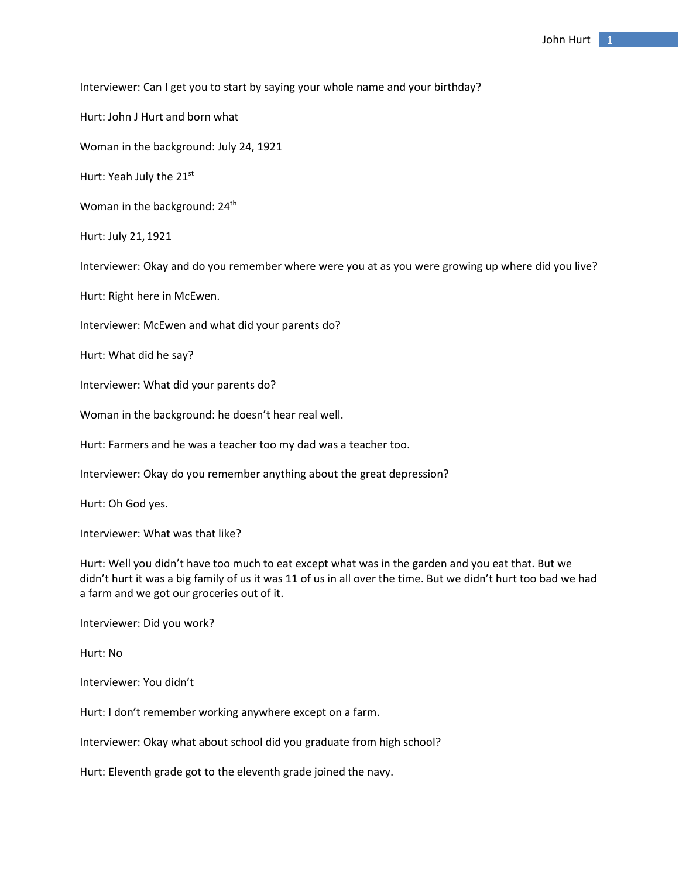Interviewer: Can I get you to start by saying your whole name and your birthday?

Hurt: John J Hurt and born what

Woman in the background: July 24, 1921

Hurt: Yeah July the 21st

Woman in the background: 24<sup>th</sup>

Hurt: July 21, 1921

Interviewer: Okay and do you remember where were you at as you were growing up where did you live?

Hurt: Right here in McEwen.

Interviewer: McEwen and what did your parents do?

Hurt: What did he say?

Interviewer: What did your parents do?

Woman in the background: he doesn't hear real well.

Hurt: Farmers and he was a teacher too my dad was a teacher too.

Interviewer: Okay do you remember anything about the great depression?

Hurt: Oh God yes.

Interviewer: What was that like?

Hurt: Well you didn't have too much to eat except what was in the garden and you eat that. But we didn't hurt it was a big family of us it was 11 of us in all over the time. But we didn't hurt too bad we had a farm and we got our groceries out of it.

Interviewer: Did you work?

Hurt: No

Interviewer: You didn't

Hurt: I don't remember working anywhere except on a farm.

Interviewer: Okay what about school did you graduate from high school?

Hurt: Eleventh grade got to the eleventh grade joined the navy.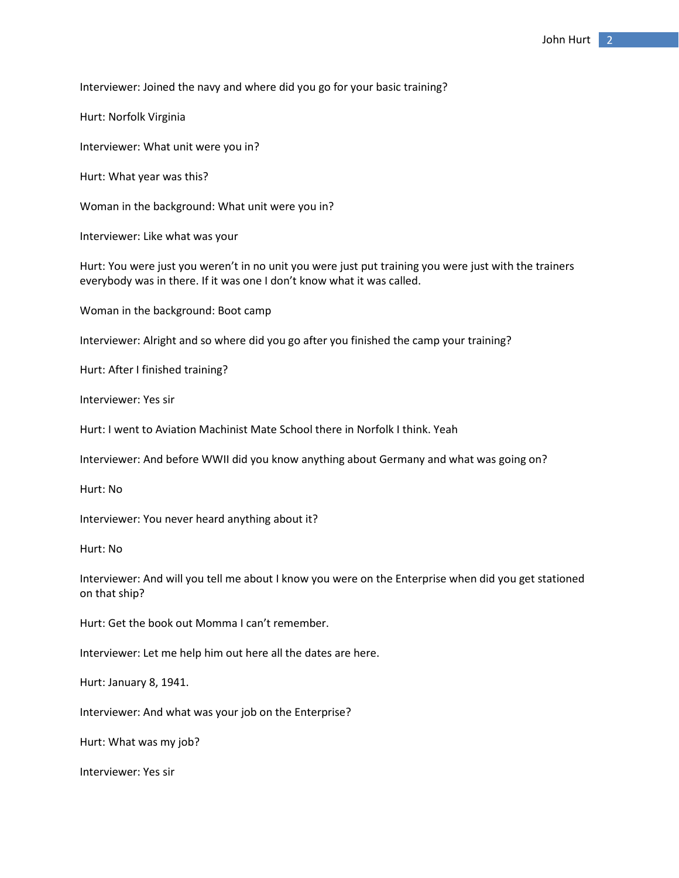Interviewer: Joined the navy and where did you go for your basic training?

Hurt: Norfolk Virginia

Interviewer: What unit were you in?

Hurt: What year was this?

Woman in the background: What unit were you in?

Interviewer: Like what was your

Hurt: You were just you weren't in no unit you were just put training you were just with the trainers everybody was in there. If it was one I don't know what it was called.

Woman in the background: Boot camp

Interviewer: Alright and so where did you go after you finished the camp your training?

Hurt: After I finished training?

Interviewer: Yes sir

Hurt: I went to Aviation Machinist Mate School there in Norfolk I think. Yeah

Interviewer: And before WWII did you know anything about Germany and what was going on?

Hurt: No

Interviewer: You never heard anything about it?

Hurt: No

Interviewer: And will you tell me about I know you were on the Enterprise when did you get stationed on that ship?

Hurt: Get the book out Momma I can't remember.

Interviewer: Let me help him out here all the dates are here.

Hurt: January 8, 1941.

Interviewer: And what was your job on the Enterprise?

Hurt: What was my job?

Interviewer: Yes sir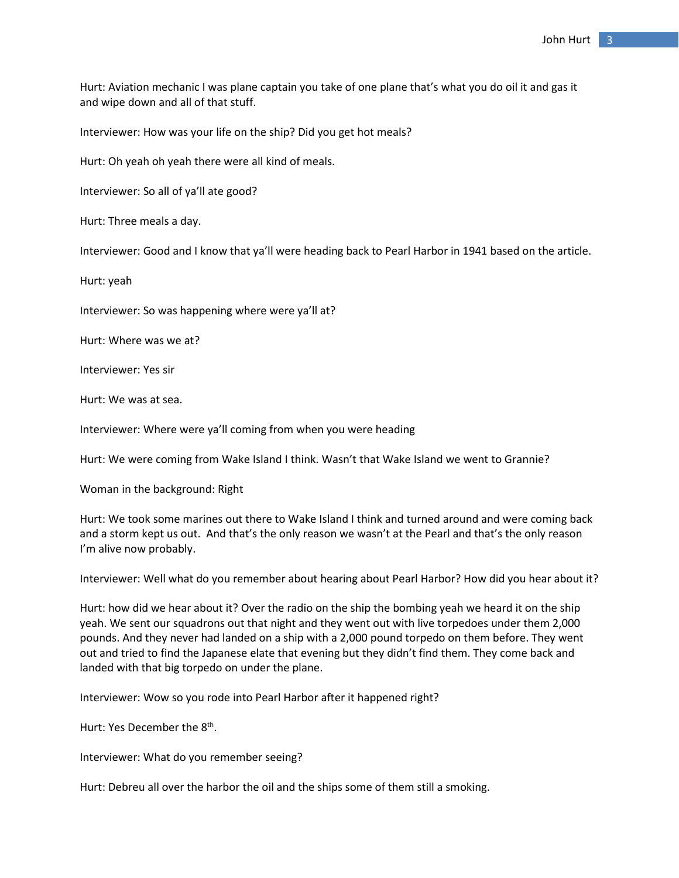Hurt: Aviation mechanic I was plane captain you take of one plane that's what you do oil it and gas it and wipe down and all of that stuff.

Interviewer: How was your life on the ship? Did you get hot meals?

Hurt: Oh yeah oh yeah there were all kind of meals.

Interviewer: So all of ya'll ate good?

Hurt: Three meals a day.

Interviewer: Good and I know that ya'll were heading back to Pearl Harbor in 1941 based on the article.

Hurt: yeah

Interviewer: So was happening where were ya'll at?

Hurt: Where was we at?

Interviewer: Yes sir

Hurt: We was at sea.

Interviewer: Where were ya'll coming from when you were heading

Hurt: We were coming from Wake Island I think. Wasn't that Wake Island we went to Grannie?

Woman in the background: Right

Hurt: We took some marines out there to Wake Island I think and turned around and were coming back and a storm kept us out. And that's the only reason we wasn't at the Pearl and that's the only reason I'm alive now probably.

Interviewer: Well what do you remember about hearing about Pearl Harbor? How did you hear about it?

Hurt: how did we hear about it? Over the radio on the ship the bombing yeah we heard it on the ship yeah. We sent our squadrons out that night and they went out with live torpedoes under them 2,000 pounds. And they never had landed on a ship with a 2,000 pound torpedo on them before. They went out and tried to find the Japanese elate that evening but they didn't find them. They come back and landed with that big torpedo on under the plane.

Interviewer: Wow so you rode into Pearl Harbor after it happened right?

Hurt: Yes December the 8th.

Interviewer: What do you remember seeing?

Hurt: Debreu all over the harbor the oil and the ships some of them still a smoking.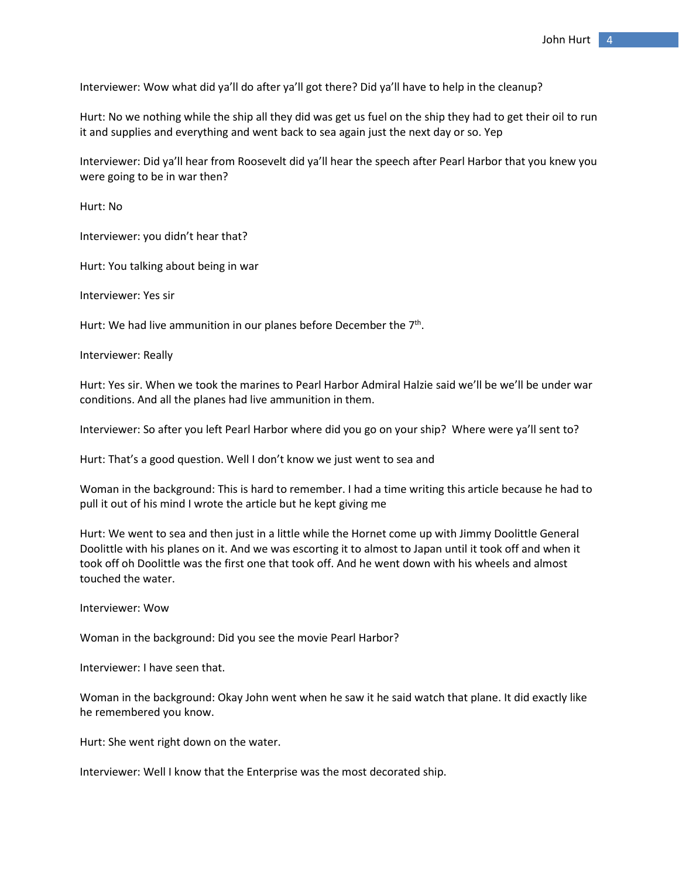Interviewer: Wow what did ya'll do after ya'll got there? Did ya'll have to help in the cleanup?

Hurt: No we nothing while the ship all they did was get us fuel on the ship they had to get their oil to run it and supplies and everything and went back to sea again just the next day or so. Yep

Interviewer: Did ya'll hear from Roosevelt did ya'll hear the speech after Pearl Harbor that you knew you were going to be in war then?

Hurt: No

Interviewer: you didn't hear that?

Hurt: You talking about being in war

Interviewer: Yes sir

Hurt: We had live ammunition in our planes before December the 7<sup>th</sup>.

Interviewer: Really

Hurt: Yes sir. When we took the marines to Pearl Harbor Admiral Halzie said we'll be we'll be under war conditions. And all the planes had live ammunition in them.

Interviewer: So after you left Pearl Harbor where did you go on your ship? Where were ya'll sent to?

Hurt: That's a good question. Well I don't know we just went to sea and

Woman in the background: This is hard to remember. I had a time writing this article because he had to pull it out of his mind I wrote the article but he kept giving me

Hurt: We went to sea and then just in a little while the Hornet come up with Jimmy Doolittle General Doolittle with his planes on it. And we was escorting it to almost to Japan until it took off and when it took off oh Doolittle was the first one that took off. And he went down with his wheels and almost touched the water.

Interviewer: Wow

Woman in the background: Did you see the movie Pearl Harbor?

Interviewer: I have seen that.

Woman in the background: Okay John went when he saw it he said watch that plane. It did exactly like he remembered you know.

Hurt: She went right down on the water.

Interviewer: Well I know that the Enterprise was the most decorated ship.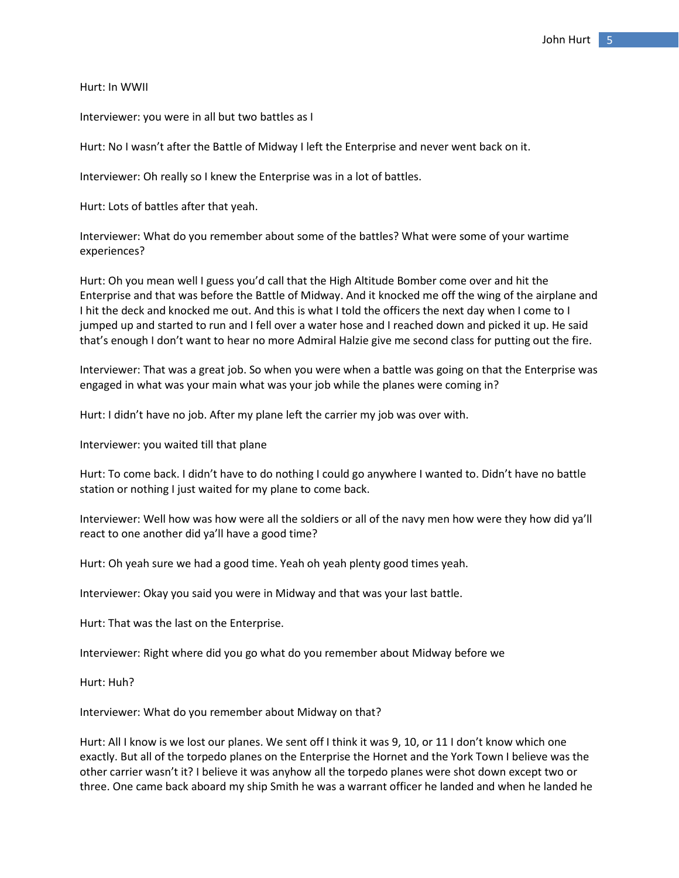Hurt: In WWII

Interviewer: you were in all but two battles as I

Hurt: No I wasn't after the Battle of Midway I left the Enterprise and never went back on it.

Interviewer: Oh really so I knew the Enterprise was in a lot of battles.

Hurt: Lots of battles after that yeah.

Interviewer: What do you remember about some of the battles? What were some of your wartime experiences?

Hurt: Oh you mean well I guess you'd call that the High Altitude Bomber come over and hit the Enterprise and that was before the Battle of Midway. And it knocked me off the wing of the airplane and I hit the deck and knocked me out. And this is what I told the officers the next day when I come to I jumped up and started to run and I fell over a water hose and I reached down and picked it up. He said that's enough I don't want to hear no more Admiral Halzie give me second class for putting out the fire.

Interviewer: That was a great job. So when you were when a battle was going on that the Enterprise was engaged in what was your main what was your job while the planes were coming in?

Hurt: I didn't have no job. After my plane left the carrier my job was over with.

Interviewer: you waited till that plane

Hurt: To come back. I didn't have to do nothing I could go anywhere I wanted to. Didn't have no battle station or nothing I just waited for my plane to come back.

Interviewer: Well how was how were all the soldiers or all of the navy men how were they how did ya'll react to one another did ya'll have a good time?

Hurt: Oh yeah sure we had a good time. Yeah oh yeah plenty good times yeah.

Interviewer: Okay you said you were in Midway and that was your last battle.

Hurt: That was the last on the Enterprise.

Interviewer: Right where did you go what do you remember about Midway before we

Hurt: Huh?

Interviewer: What do you remember about Midway on that?

Hurt: All I know is we lost our planes. We sent off I think it was 9, 10, or 11 I don't know which one exactly. But all of the torpedo planes on the Enterprise the Hornet and the York Town I believe was the other carrier wasn't it? I believe it was anyhow all the torpedo planes were shot down except two or three. One came back aboard my ship Smith he was a warrant officer he landed and when he landed he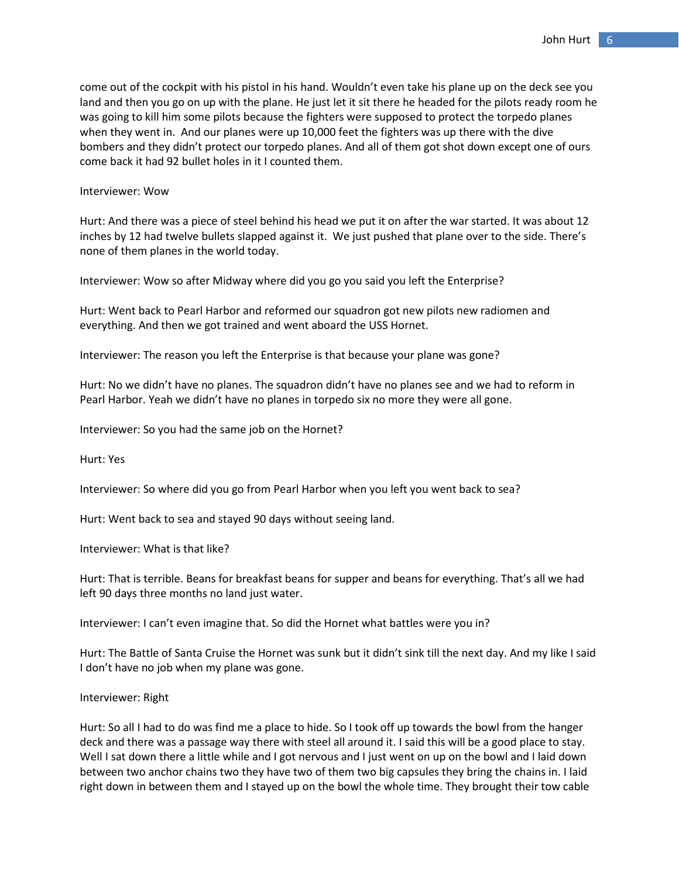come out of the cockpit with his pistol in his hand. Wouldn't even take his plane up on the deck see you land and then you go on up with the plane. He just let it sit there he headed for the pilots ready room he was going to kill him some pilots because the fighters were supposed to protect the torpedo planes when they went in. And our planes were up 10,000 feet the fighters was up there with the dive bombers and they didn't protect our torpedo planes. And all of them got shot down except one of ours come back it had 92 bullet holes in it I counted them.

## Interviewer: Wow

Hurt: And there was a piece of steel behind his head we put it on after the war started. It was about 12 inches by 12 had twelve bullets slapped against it. We just pushed that plane over to the side. There's none of them planes in the world today.

Interviewer: Wow so after Midway where did you go you said you left the Enterprise?

Hurt: Went back to Pearl Harbor and reformed our squadron got new pilots new radiomen and everything. And then we got trained and went aboard the USS Hornet.

Interviewer: The reason you left the Enterprise is that because your plane was gone?

Hurt: No we didn't have no planes. The squadron didn't have no planes see and we had to reform in Pearl Harbor. Yeah we didn't have no planes in torpedo six no more they were all gone.

Interviewer: So you had the same job on the Hornet?

Hurt: Yes

Interviewer: So where did you go from Pearl Harbor when you left you went back to sea?

Hurt: Went back to sea and stayed 90 days without seeing land.

Interviewer: What is that like?

Hurt: That is terrible. Beans for breakfast beans for supper and beans for everything. That's all we had left 90 days three months no land just water.

Interviewer: I can't even imagine that. So did the Hornet what battles were you in?

Hurt: The Battle of Santa Cruise the Hornet was sunk but it didn't sink till the next day. And my like I said I don't have no job when my plane was gone.

## Interviewer: Right

Hurt: So all I had to do was find me a place to hide. So I took off up towards the bowl from the hanger deck and there was a passage way there with steel all around it. I said this will be a good place to stay. Well I sat down there a little while and I got nervous and I just went on up on the bowl and I laid down between two anchor chains two they have two of them two big capsules they bring the chains in. I laid right down in between them and I stayed up on the bowl the whole time. They brought their tow cable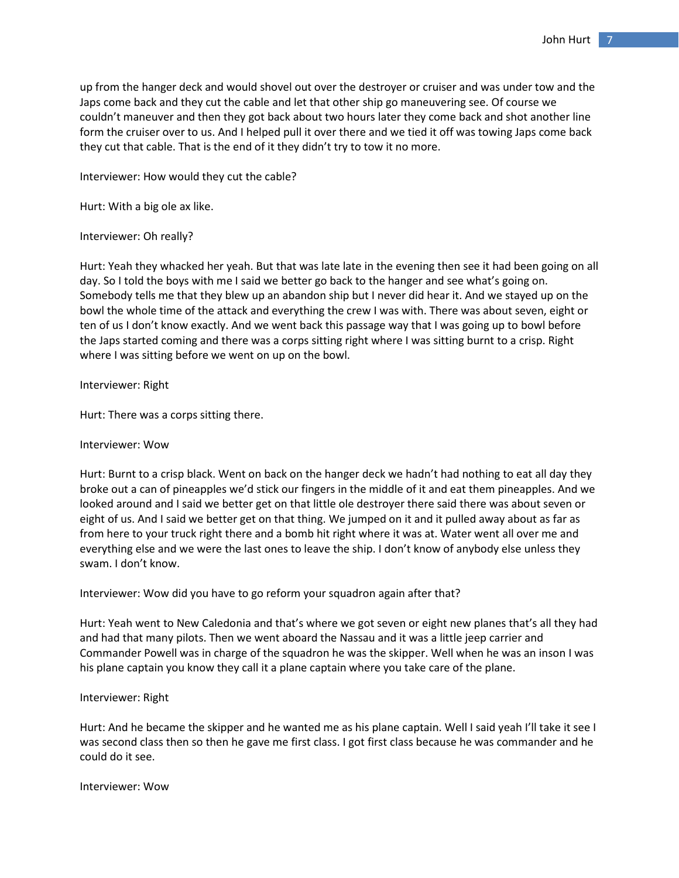up from the hanger deck and would shovel out over the destroyer or cruiser and was under tow and the Japs come back and they cut the cable and let that other ship go maneuvering see. Of course we couldn't maneuver and then they got back about two hours later they come back and shot another line form the cruiser over to us. And I helped pull it over there and we tied it off was towing Japs come back they cut that cable. That is the end of it they didn't try to tow it no more.

Interviewer: How would they cut the cable?

Hurt: With a big ole ax like.

Interviewer: Oh really?

Hurt: Yeah they whacked her yeah. But that was late late in the evening then see it had been going on all day. So I told the boys with me I said we better go back to the hanger and see what's going on. Somebody tells me that they blew up an abandon ship but I never did hear it. And we stayed up on the bowl the whole time of the attack and everything the crew I was with. There was about seven, eight or ten of us I don't know exactly. And we went back this passage way that I was going up to bowl before the Japs started coming and there was a corps sitting right where I was sitting burnt to a crisp. Right where I was sitting before we went on up on the bowl.

Interviewer: Right

Hurt: There was a corps sitting there.

## Interviewer: Wow

Hurt: Burnt to a crisp black. Went on back on the hanger deck we hadn't had nothing to eat all day they broke out a can of pineapples we'd stick our fingers in the middle of it and eat them pineapples. And we looked around and I said we better get on that little ole destroyer there said there was about seven or eight of us. And I said we better get on that thing. We jumped on it and it pulled away about as far as from here to your truck right there and a bomb hit right where it was at. Water went all over me and everything else and we were the last ones to leave the ship. I don't know of anybody else unless they swam. I don't know.

Interviewer: Wow did you have to go reform your squadron again after that?

Hurt: Yeah went to New Caledonia and that's where we got seven or eight new planes that's all they had and had that many pilots. Then we went aboard the Nassau and it was a little jeep carrier and Commander Powell was in charge of the squadron he was the skipper. Well when he was an inson I was his plane captain you know they call it a plane captain where you take care of the plane.

## Interviewer: Right

Hurt: And he became the skipper and he wanted me as his plane captain. Well I said yeah I'll take it see I was second class then so then he gave me first class. I got first class because he was commander and he could do it see.

Interviewer: Wow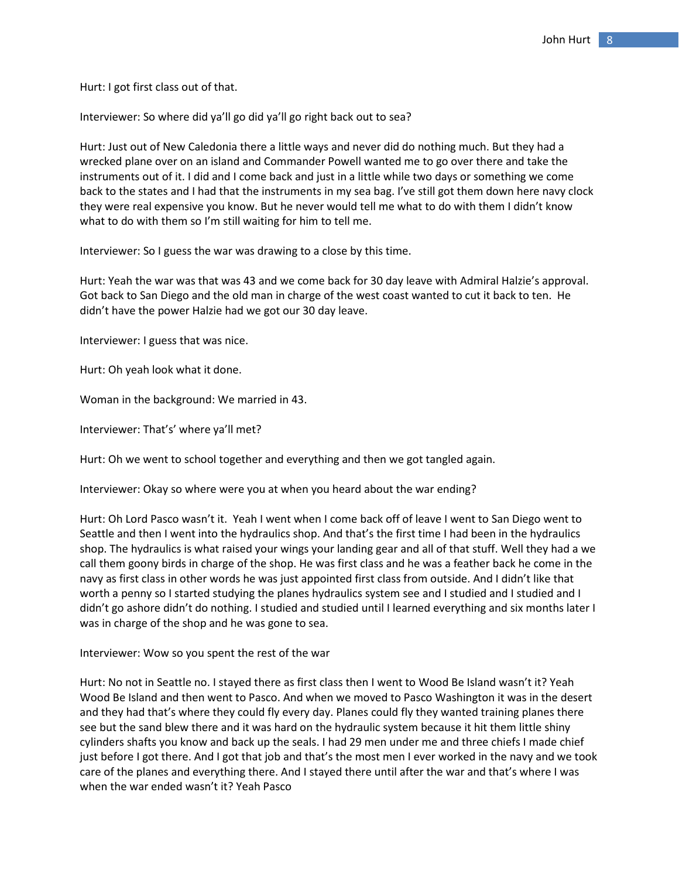Hurt: I got first class out of that.

Interviewer: So where did ya'll go did ya'll go right back out to sea?

Hurt: Just out of New Caledonia there a little ways and never did do nothing much. But they had a wrecked plane over on an island and Commander Powell wanted me to go over there and take the instruments out of it. I did and I come back and just in a little while two days or something we come back to the states and I had that the instruments in my sea bag. I've still got them down here navy clock they were real expensive you know. But he never would tell me what to do with them I didn't know what to do with them so I'm still waiting for him to tell me.

Interviewer: So I guess the war was drawing to a close by this time.

Hurt: Yeah the war was that was 43 and we come back for 30 day leave with Admiral Halzie's approval. Got back to San Diego and the old man in charge of the west coast wanted to cut it back to ten. He didn't have the power Halzie had we got our 30 day leave.

Interviewer: I guess that was nice.

Hurt: Oh yeah look what it done.

Woman in the background: We married in 43.

Interviewer: That's' where ya'll met?

Hurt: Oh we went to school together and everything and then we got tangled again.

Interviewer: Okay so where were you at when you heard about the war ending?

Hurt: Oh Lord Pasco wasn't it. Yeah I went when I come back off of leave I went to San Diego went to Seattle and then I went into the hydraulics shop. And that's the first time I had been in the hydraulics shop. The hydraulics is what raised your wings your landing gear and all of that stuff. Well they had a we call them goony birds in charge of the shop. He was first class and he was a feather back he come in the navy as first class in other words he was just appointed first class from outside. And I didn't like that worth a penny so I started studying the planes hydraulics system see and I studied and I studied and I didn't go ashore didn't do nothing. I studied and studied until I learned everything and six months later I was in charge of the shop and he was gone to sea.

Interviewer: Wow so you spent the rest of the war

Hurt: No not in Seattle no. I stayed there as first class then I went to Wood Be Island wasn't it? Yeah Wood Be Island and then went to Pasco. And when we moved to Pasco Washington it was in the desert and they had that's where they could fly every day. Planes could fly they wanted training planes there see but the sand blew there and it was hard on the hydraulic system because it hit them little shiny cylinders shafts you know and back up the seals. I had 29 men under me and three chiefs I made chief just before I got there. And I got that job and that's the most men I ever worked in the navy and we took care of the planes and everything there. And I stayed there until after the war and that's where I was when the war ended wasn't it? Yeah Pasco